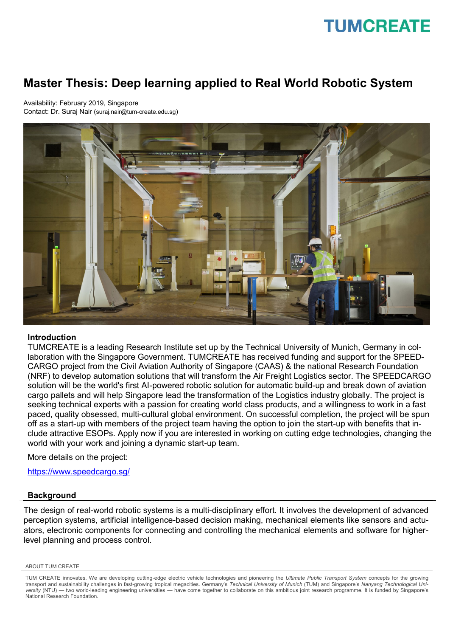## **TUMCREATE**

### **Master Thesis: Deep learning applied to Real World Robotic System**

Availability: February 2019, Singapore Contact: Dr. Suraj Nair (suraj.nair@tum-create.edu.sg)



#### **Introduction**

TUMCREATE is a leading Research Institute set up by the Technical University of Munich, Germany in collaboration with the Singapore Government. TUMCREATE has received funding and support for the SPEED-CARGO project from the Civil Aviation Authority of Singapore (CAAS) & the national Research Foundation (NRF) to develop automation solutions that will transform the Air Freight Logistics sector. The SPEEDCARGO solution will be the world's first AI-powered robotic solution for automatic build-up and break down of aviation cargo pallets and will help Singapore lead the transformation of the Logistics industry globally. The project is seeking technical experts with a passion for creating world class products, and a willingness to work in a fast paced, quality obsessed, multi-cultural global environment. On successful completion, the project will be spun off as a start-up with members of the project team having the option to join the start-up with benefits that include attractive ESOPs. Apply now if you are interested in working on cutting edge technologies, changing the world with your work and joining a dynamic start-up team.

More details on the project:

<https://www.speedcargo.sg/>

#### **Background**

The design of real-world robotic systems is a multi-disciplinary effort. It involves the development of advanced perception systems, artificial intelligence-based decision making, mechanical elements like sensors and actuators, electronic components for connecting and controlling the mechanical elements and software for higherlevel planning and process control.

ABOUT TUM CREATE

TUM CREATE innovates. We are developing cutting-edge electric vehicle technologies and pioneering the *Ultimate Public Transport System* concepts for the growing transport and sustainability challenges in fast-growing tropical megacities. Germany's *Technical University of Munich* (TUM) and Singapore's *Nanyang Technological University* (NTU) — two world-leading engineering universities — have come together to collaborate on this ambitious joint research programme. It is funded by Singapore's National Research Foundation.